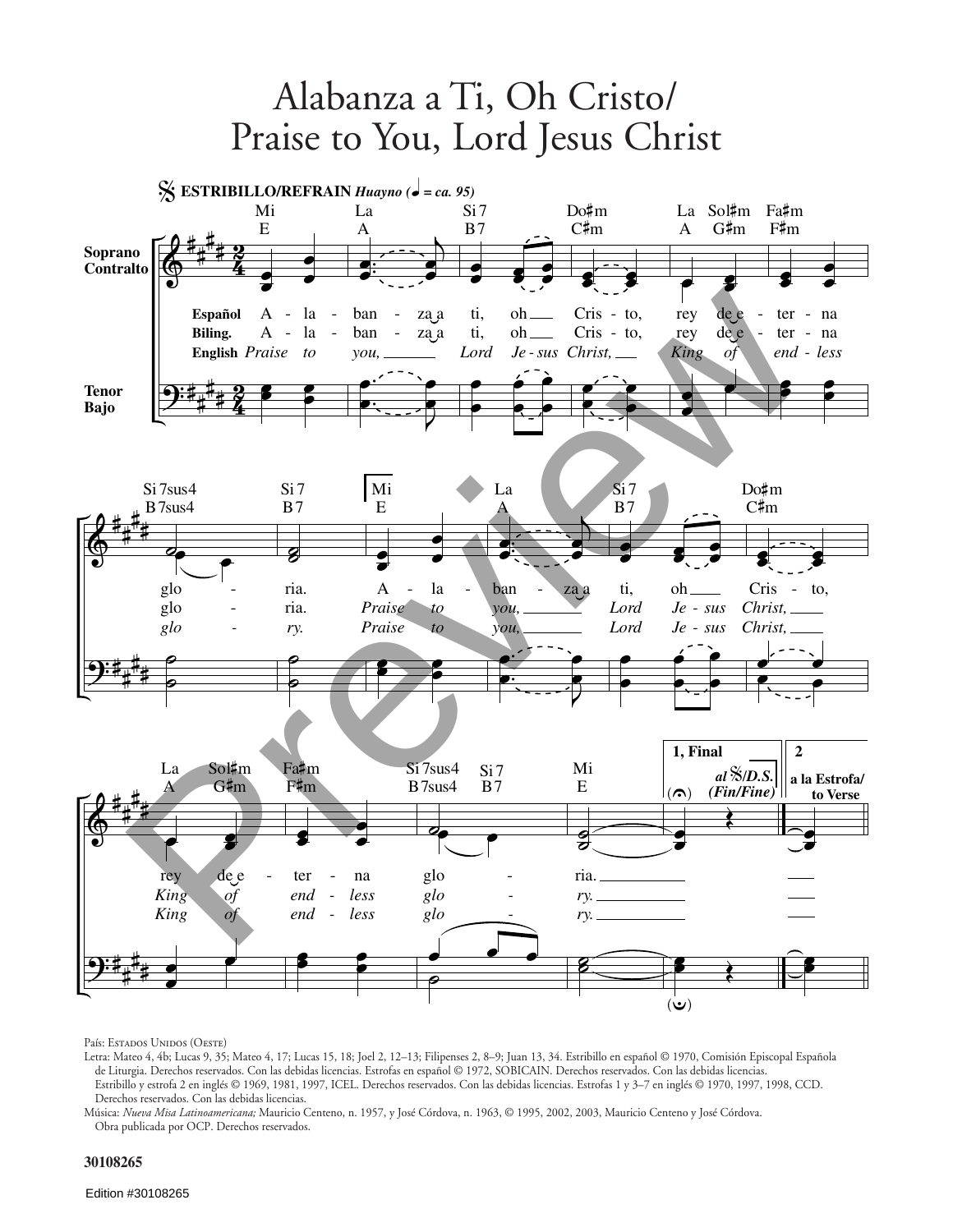

País: Estados Unidos (Oeste)

Letra: Mateo 4, 4b; Lucas 9, 35; Mateo 4, 17; Lucas 15, 18; Joel 2, 12–13; Filipenses 2, 8–9; Juan 13, 34. Estribillo en español © 1970, Comisión Episcopal Española de Liturgia. Derechos reservados. Con las debidas licencias. Estrofas en español © 1972, SOBICAIN. Derechos reservados. Con las debidas licencias. Estribillo y estrofa 2 en inglés © 1969, 1981, 1997, ICEL. Derechos reservados. Con las debidas licencias. Estrofas 1 y 3–7 en inglés © 1970, 1997, 1998, CCD. Derechos reservados. Con las debidas licencias.

Música: *Nueva Misa Latinoamericana;* Mauricio Centeno, n. 1957, y José Córdova, n. 1963, © 1995, 2002, 2003, Mauricio Centeno y José Córdova. Obra publicada por OCP. Derechos reservados.

## **30108265**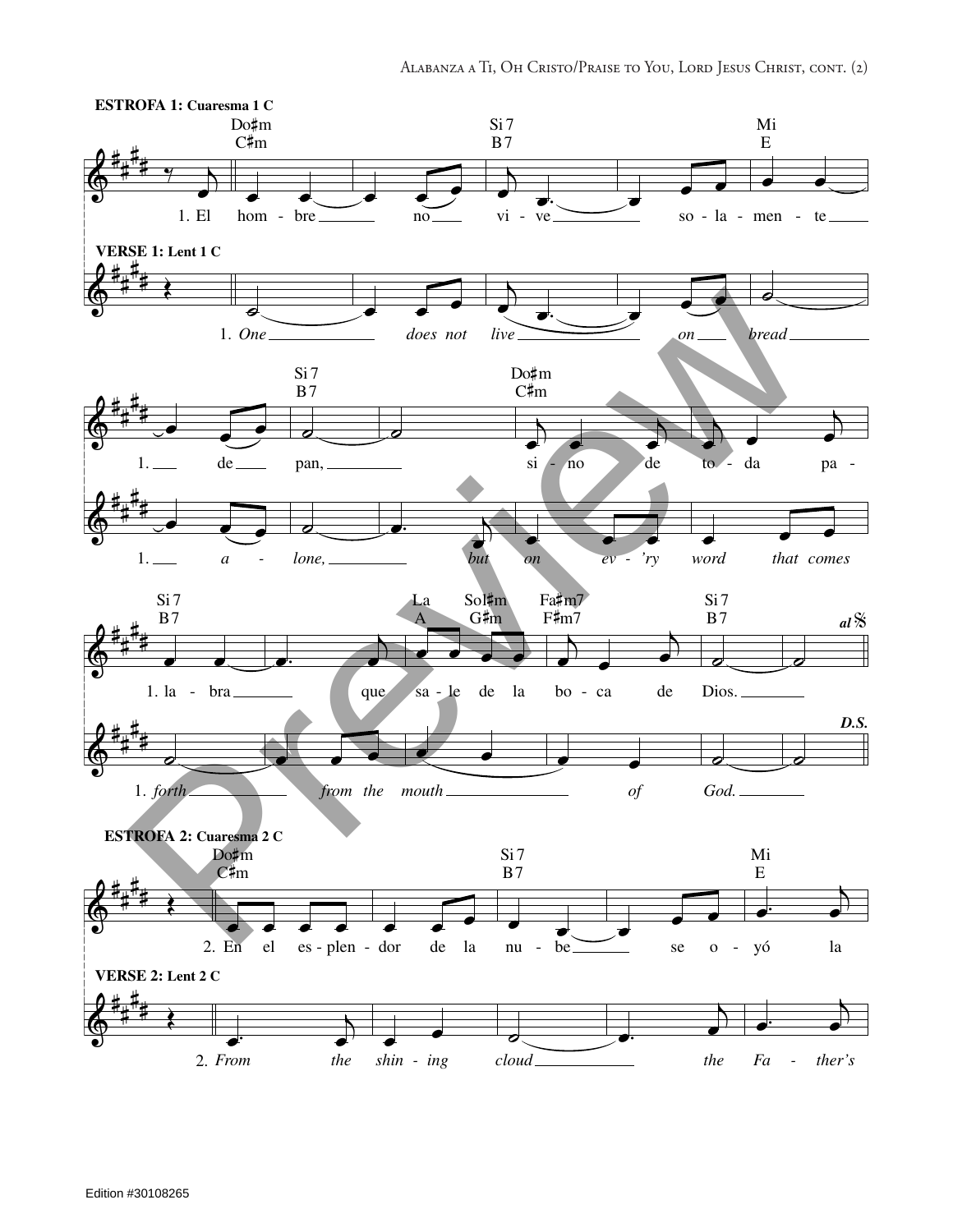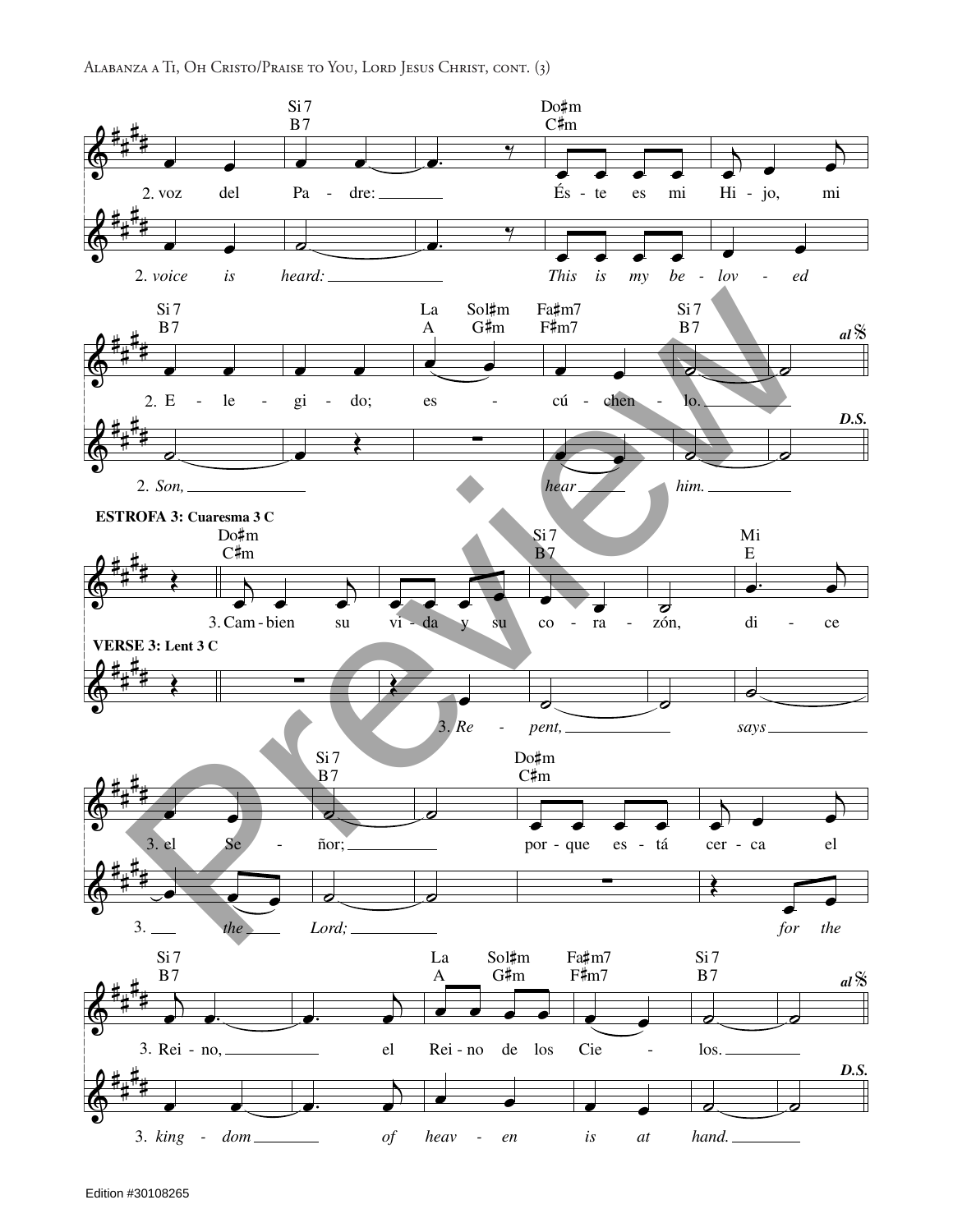ALABANZA A TI, OH CRISTO/PRAISE TO YOU, LORD JESUS CHRIST, CONT. (3)

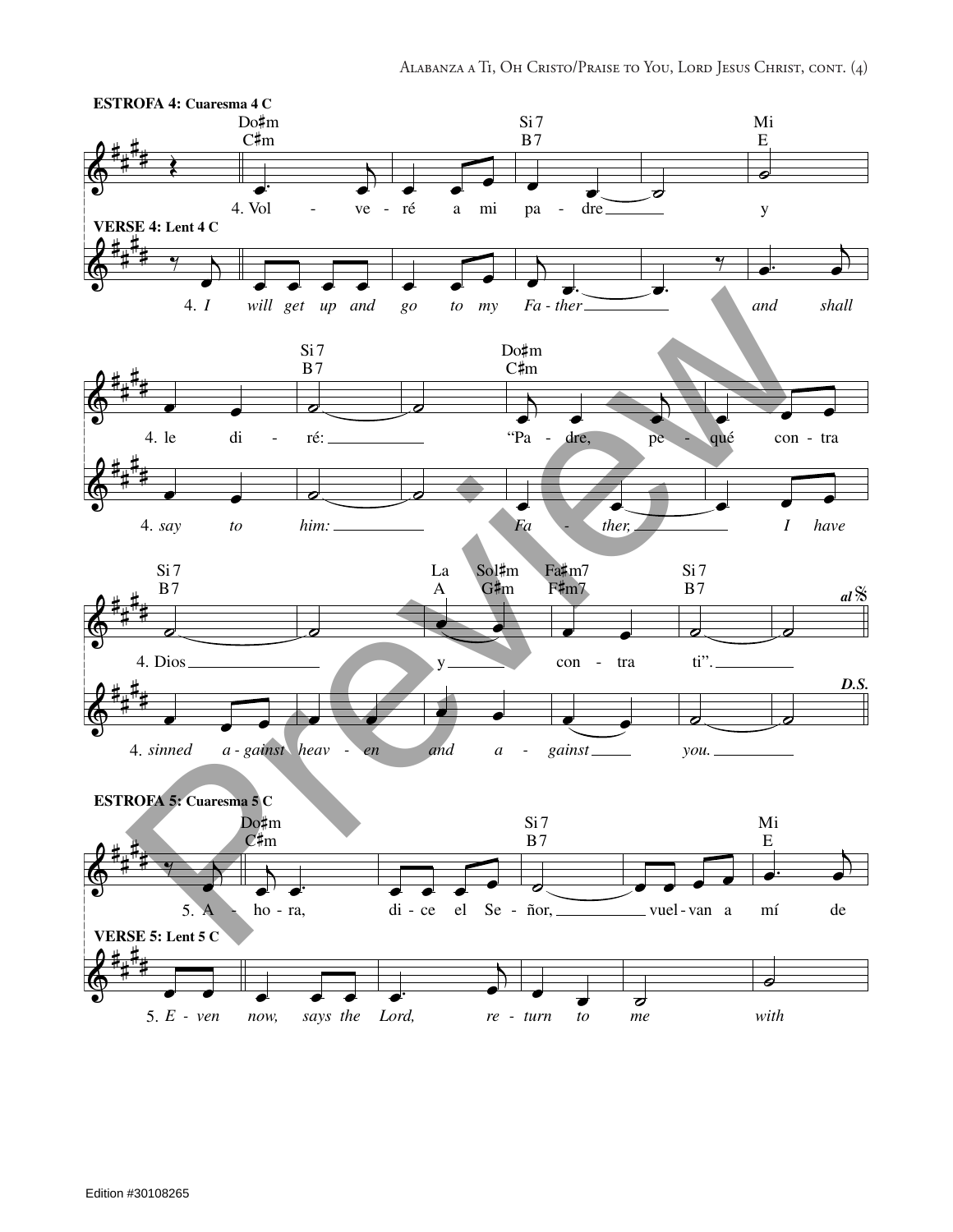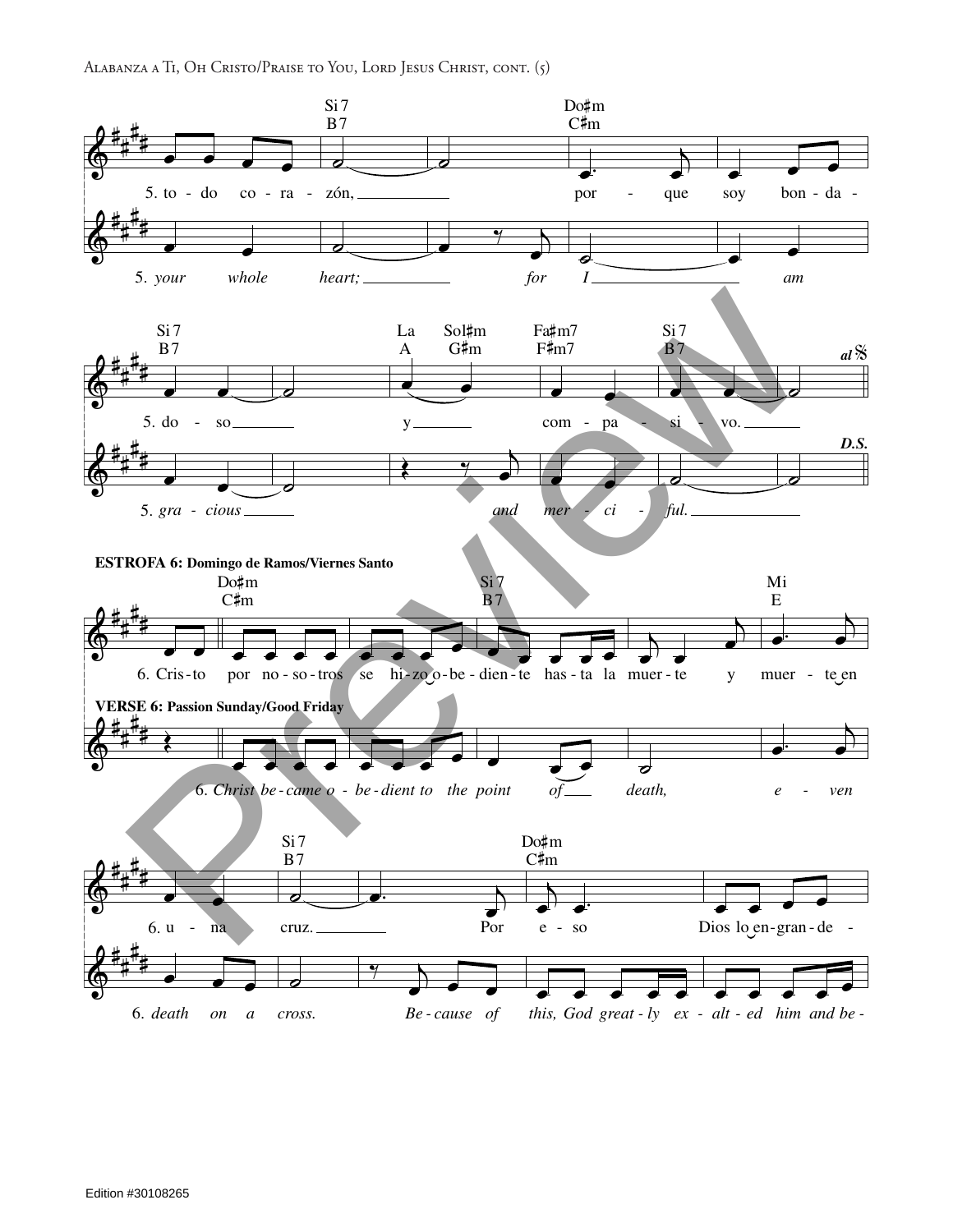ALABANZA A TI, OH CRISTO/PRAISE TO YOU, LORD JESUS CHRIST, CONT. (5)